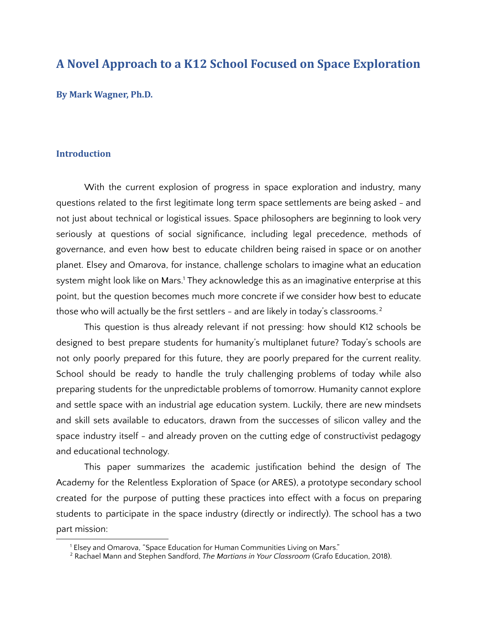# **A Novel Approach to a K12 School Focused on Space Exploration**

**By Mark Wagner, Ph.D.**

## **Introduction**

With the current explosion of progress in space exploration and industry, many questions related to the first legitimate long term space settlements are being asked - and not just about technical or logistical issues. Space philosophers are beginning to look very seriously at questions of social significance, including legal precedence, methods of governance, and even how best to educate children being raised in space or on another planet. Elsey and Omarova, for instance, challenge scholars to imagine what an education system might look like on Mars.<sup>1</sup> They acknowledge this as an imaginative enterprise at this point, but the question becomes much more concrete if we consider how best to educate those who will actually be the first settlers - and are likely in today's classrooms. $^{\text{2}}$ 

This question is thus already relevant if not pressing: how should K12 schools be designed to best prepare students for humanity's multiplanet future? Today's schools are not only poorly prepared for this future, they are poorly prepared for the current reality. School should be ready to handle the truly challenging problems of today while also preparing students for the unpredictable problems of tomorrow. Humanity cannot explore and settle space with an industrial age education system. Luckily, there are new mindsets and skill sets available to educators, drawn from the successes of silicon valley and the space industry itself - and already proven on the cutting edge of constructivist pedagogy and educational technology.

This paper summarizes the academic justification behind the design of The Academy for the Relentless Exploration of Space (or ARES), a prototype secondary school created for the purpose of putting these practices into effect with a focus on preparing students to participate in the space industry (directly or indirectly). The school has a two part mission:

<sup>&</sup>lt;sup>1</sup> Elsey and Omarova, "Space Education for Human Communities Living on Mars."

<sup>2</sup> Rachael Mann and Stephen Sandford, *The Martians in Your Classroom* (Grafo Education, 2018).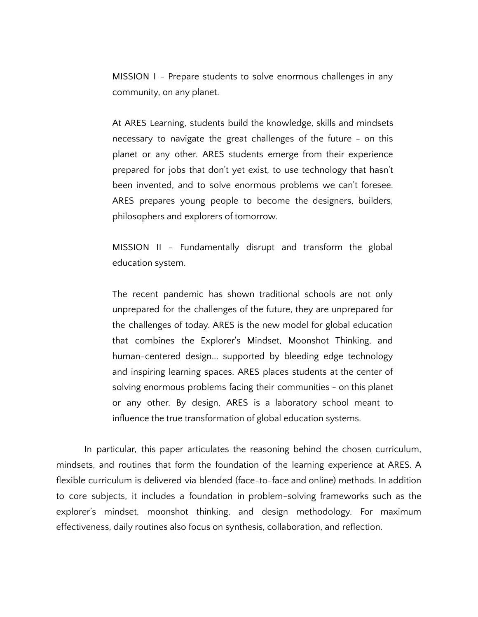MISSION I - Prepare students to solve enormous challenges in any community, on any planet.

At ARES Learning, students build the knowledge, skills and mindsets necessary to navigate the great challenges of the future - on this planet or any other. ARES students emerge from their experience prepared for jobs that don't yet exist, to use technology that hasn't been invented, and to solve enormous problems we can't foresee. ARES prepares young people to become the designers, builders, philosophers and explorers of tomorrow.

MISSION II - Fundamentally disrupt and transform the global education system.

The recent pandemic has shown traditional schools are not only unprepared for the challenges of the future, they are unprepared for the challenges of today. ARES is the new model for global education that combines the Explorer's Mindset, Moonshot Thinking, and human-centered design... supported by bleeding edge technology and inspiring learning spaces. ARES places students at the center of solving enormous problems facing their communities - on this planet or any other. By design, ARES is a laboratory school meant to influence the true transformation of global education systems.

In particular, this paper articulates the reasoning behind the chosen curriculum, mindsets, and routines that form the foundation of the learning experience at ARES. A flexible curriculum is delivered via blended (face-to-face and online) methods. In addition to core subjects, it includes a foundation in problem-solving frameworks such as the explorer's mindset, moonshot thinking, and design methodology. For maximum effectiveness, daily routines also focus on synthesis, collaboration, and reflection.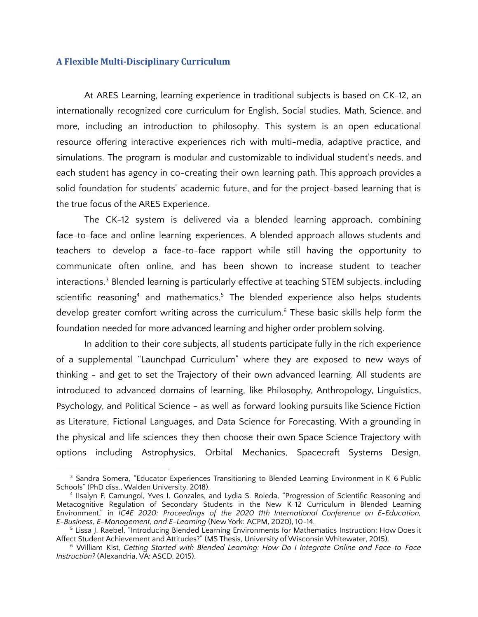### **A Flexible Multi-Disciplinary Curriculum**

At ARES Learning, learning experience in traditional subjects is based on CK-12, an internationally recognized core curriculum for English, Social studies, Math, Science, and more, including an introduction to philosophy. This system is an open educational resource offering interactive experiences rich with multi-media, adaptive practice, and simulations. The program is modular and customizable to individual student's needs, and each student has agency in co-creating their own learning path. This approach provides a solid foundation for students' academic future, and for the project-based learning that is the true focus of the ARES Experience.

The CK-12 system is delivered via a blended learning approach, combining face-to-face and online learning experiences. A blended approach allows students and teachers to develop a face-to-face rapport while still having the opportunity to communicate often online, and has been shown to increase student to teacher interactions. <sup>3</sup> Blended learning is particularly effective at teaching STEM subjects, including scientific reasoning<sup>4</sup> and mathematics.<sup>5</sup> The blended experience also helps students develop greater comfort writing across the curriculum. <sup>6</sup> These basic skills help form the foundation needed for more advanced learning and higher order problem solving.

In addition to their core subjects, all students participate fully in the rich experience of a supplemental "Launchpad Curriculum" where they are exposed to new ways of thinking - and get to set the Trajectory of their own advanced learning. All students are introduced to advanced domains of learning, like Philosophy, Anthropology, Linguistics, Psychology, and Political Science - as well as forward looking pursuits like Science Fiction as Literature, Fictional Languages, and Data Science for Forecasting. With a grounding in the physical and life sciences they then choose their own Space Science Trajectory with options including Astrophysics, Orbital Mechanics, Spacecraft Systems Design,

<sup>&</sup>lt;sup>3</sup> Sandra Somera, "Educator Experiences Transitioning to Blended Learning Environment in K-6 Public Schools" (PhD diss., Walden University, 2018).

<sup>4</sup> IIsalyn F. Camungol, Yves I. Gonzales, and Lydia S. Roleda, "Progression of Scientific Reasoning and Metacognitive Regulation of Secondary Students in the New K-12 Curriculum in Blended Learning Environment," in *IC4E 2020: Proceedings of the 2020 11th International Conference on E-Education, E-Business, E-Management, and E-Learning* (New York: ACPM, 2020), 10-14.

<sup>5</sup> Lissa J. Raebel, "Introducing Blended Learning Environments for Mathematics Instruction: How Does it Affect Student Achievement and Attitudes?" (MS Thesis, University of Wisconsin Whitewater, 2015).

<sup>6</sup> William Kist, *Getting Started with Blended Learning: How Do I Integrate Online and Face-to-Face Instruction?* (Alexandria, VA: ASCD, 2015).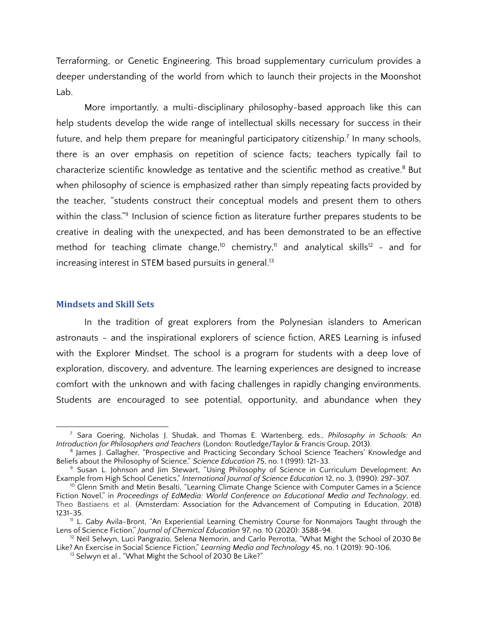Terraforming, or Genetic Engineering. This broad supplementary curriculum provides a deeper understanding of the world from which to launch their projects in the Moonshot Lab.

More importantly, a multi-disciplinary philosophy-based approach like this can help students develop the wide range of intellectual skills necessary for success in their future, and help them prepare for meaningful participatory citizenship.<sup>7</sup> In many schools, there is an over emphasis on repetition of science facts; teachers typically fail to characterize scientific knowledge as tentative and the scientific method as creative. <sup>8</sup> But when philosophy of science is emphasized rather than simply repeating facts provided by the teacher, "students construct their conceptual models and present them to others within the class."<sup>9</sup> Inclusion of science fiction as literature further prepares students to be creative in dealing with the unexpected, and has been demonstrated to be an effective method for teaching climate change,<sup>10</sup> chemistry,<sup>11</sup> and analytical skills<sup>12</sup> - and for increasing interest in STEM based pursuits in general. 13

#### **Mindsets and Skill Sets**

In the tradition of great explorers from the Polynesian islanders to American astronauts - and the inspirational explorers of science fiction, ARES Learning is infused with the Explorer Mindset. The school is a program for students with a deep love of exploration, discovery, and adventure. The learning experiences are designed to increase comfort with the unknown and with facing challenges in rapidly changing environments. Students are encouraged to see potential, opportunity, and abundance when they

<sup>7</sup> Sara Goering, Nicholas J. Shudak, and Thomas E. Wartenberg, eds., *Philosophy in Schools: An Introduction for Philosophers and Teachers* (London: Routledge/Taylor & Francis Group, 2013).

<sup>&</sup>lt;sup>8</sup> James J. Gallagher, "Prospective and Practicing Secondary School Science Teachers' Knowledge and Beliefs about the Philosophy of Science," *Science Education* 75, no. 1 (1991): 121-33.

<sup>&</sup>lt;sup>9</sup> Susan L. Johnson and Jim Stewart, "Using Philosophy of Science in Curriculum Development: An Example from High School Genetics," *International Journal of Science Education* 12, no. 3*,* (1990): 297-307.

 $10$  Glenn Smith and Metin Besalti, "Learning Climate Change Science with Computer Games in a Science Fiction Novel," in *Proceedings of EdMedia: World Conference on Educational Media and Technology*, ed. Theo Bastiaens et al. (Amsterdam: Association for the Advancement of Computing in Education, 2018) 1231-35.

<sup>11</sup> L. Gaby Avila-Bront, "An Experiential Learning Chemistry Course for Nonmajors Taught through the Lens of Science Fiction," *Journal of Chemical Education* 97, no. 10 (2020): 3588-94.

<sup>&</sup>lt;sup>12</sup> Neil Selwyn, Luci Pangrazio, Selena Nemorin, and Carlo Perrotta, "What Might the School of 2030 Be Like? An Exercise in Social Science Fiction," *Learning Media and Technology* 45, no. 1 (2019): 90-106.

<sup>&</sup>lt;sup>13</sup> Selwyn et al., "What Might the School of 2030 Be Like?"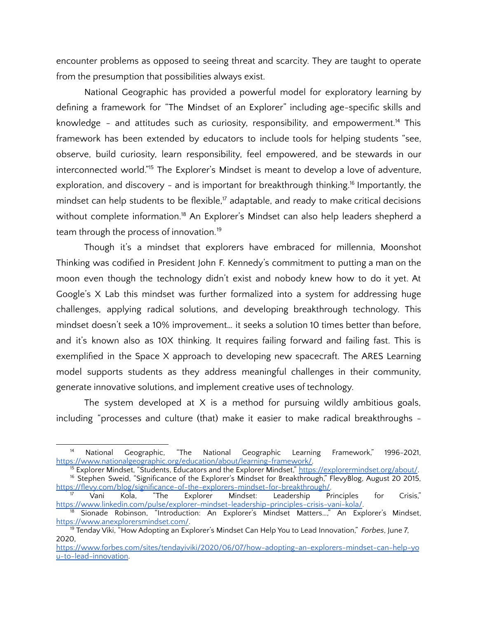encounter problems as opposed to seeing threat and scarcity. They are taught to operate from the presumption that possibilities always exist.

National Geographic has provided a powerful model for exploratory learning by defining a framework for "The Mindset of an Explorer" including age-specific skills and knowledge - and attitudes such as curiosity, responsibility, and empowerment.<sup>14</sup> This framework has been extended by educators to include tools for helping students "see, observe, build curiosity, learn responsibility, feel empowered, and be stewards in our interconnected world." <sup>15</sup> The Explorer's Mindset is meant to develop a love of adventure, exploration, and discovery - and is important for breakthrough thinking. 16 Importantly, the mindset can help students to be flexible,<sup>17</sup> adaptable, and ready to make critical decisions without complete information.<sup>18</sup> An Explorer's Mindset can also help leaders shepherd a team through the process of innovation. 19

Though it's a mindset that explorers have embraced for millennia, Moonshot Thinking was codified in President John F. Kennedy's commitment to putting a man on the moon even though the technology didn't exist and nobody knew how to do it yet. At Google's X Lab this mindset was further formalized into a system for addressing huge challenges, applying radical solutions, and developing breakthrough technology. This mindset doesn't seek a 10% improvement… it seeks a solution 10 times better than before, and it's known also as 10X thinking. It requires failing forward and failing fast. This is exemplified in the Space X approach to developing new spacecraft. The ARES Learning model supports students as they address meaningful challenges in their community, generate innovative solutions, and implement creative uses of technology.

The system developed at X is a method for pursuing wildly ambitious goals, including "processes and culture (that) make it easier to make radical breakthroughs -

<sup>&</sup>lt;sup>14</sup> National Geographic, "The National Geographic Learning Framework," 1996-2021, https://www.nationalgeographic.org/education/about/learning-framework/.

<sup>&</sup>lt;sup>16</sup> Stephen Sweid, "Significance of the Explorer's Mindset for Breakthrough," FlevyBlog, August 20 2015, https://flevy.com/blog/significance-of-the-explorers-mindset-for-breakthrough/<br><sup>17</sup> Vani Kola, "The Explorer Mindset: Leadership Pr <sup>15</sup> Explorer Mindset, "Students, Educators and the Explorer Mindset," https://explorermindset.org/about/.

<sup>&</sup>lt;sup>17</sup> Vani Kola, "The Explorer Mindset: Leadership Principles for Crisis," https://www.linkedin.com/pulse/explorer-mindset-leadership-principles-crisis-vani-kola/.

<sup>&</sup>lt;sup>18</sup> Sionade Robinson, "Introduction: An Explorer's Mindset Matters...," An Explorer's Mindset, https://www.anexplorersmindset.com/.

<sup>19</sup> Tenday Viki, "How Adopting an Explorer's Mindset Can Help You to Lead Innovation," *Forbes*, June 7, 2020,

https://www.forbes.com/sites/tendayiviki/2020/06/07/how-adopting-an-explorers-mindset-can-help-yo u-to-lead-innovation.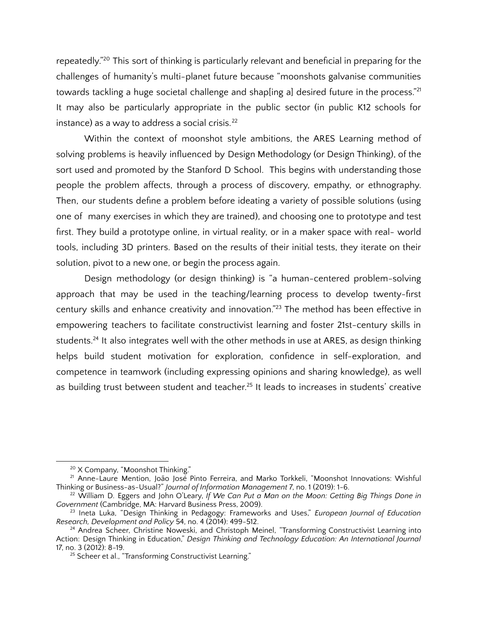repeatedly." <sup>20</sup> This sort of thinking is particularly relevant and beneficial in preparing for the challenges of humanity's multi-planet future because "moonshots galvanise communities towards tackling a huge societal challenge and shap[ing a] desired future in the process."<sup>21</sup> It may also be particularly appropriate in the public sector (in public K12 schools for instance) as a way to address a social crisis. 22

Within the context of moonshot style ambitions, the ARES Learning method of solving problems is heavily influenced by Design Methodology (or Design Thinking), of the sort used and promoted by the Stanford D School. This begins with understanding those people the problem affects, through a process of discovery, empathy, or ethnography. Then, our students define a problem before ideating a variety of possible solutions (using one of many exercises in which they are trained), and choosing one to prototype and test first. They build a prototype online, in virtual reality, or in a maker space with real- world tools, including 3D printers. Based on the results of their initial tests, they iterate on their solution, pivot to a new one, or begin the process again.

Design methodology (or design thinking) is "a human-centered problem-solving approach that may be used in the teaching/learning process to develop twenty-first century skills and enhance creativity and innovation." <sup>23</sup> The method has been effective in empowering teachers to facilitate constructivist learning and foster 21st-century skills in students.<sup>24</sup> It also integrates well with the other methods in use at ARES, as design thinking helps build student motivation for exploration, confidence in self-exploration, and competence in teamwork (including expressing opinions and sharing knowledge), as well as building trust between student and teacher.<sup>25</sup> It leads to increases in students' creative

<sup>&</sup>lt;sup>20</sup> X Company, "Moonshot Thinking."

<sup>21</sup> Anne-Laure Mention, João José Pinto Ferreira, and Marko Torkkeli, "Moonshot Innovations: Wishful Thinking or Business-as-Usual?" *Journal of Information Management* 7, no. 1 (2019): 1-6.

<sup>22</sup> William D. Eggers and John O'Leary, *If We Can Put a Man on the Moon: Getting Big Things Done in Government* (Cambridge, MA: Harvard Business Press, 2009).

<sup>23</sup> Ineta Luka, "Design Thinking in Pedagogy: Frameworks and Uses," *European Journal of Education Research, Development and Policy* 54, no. 4 (2014): 499-512.

<sup>&</sup>lt;sup>24</sup> Andrea Scheer, Christine Noweski, and Christoph Meinel, "Transforming Constructivist Learning into Action: Design Thinking in Education," *Design Thinking and Technology Education: An International Journal* 17, no. 3 (2012): 8-19.

<sup>&</sup>lt;sup>25</sup> Scheer et al., "Transforming Constructivist Learning."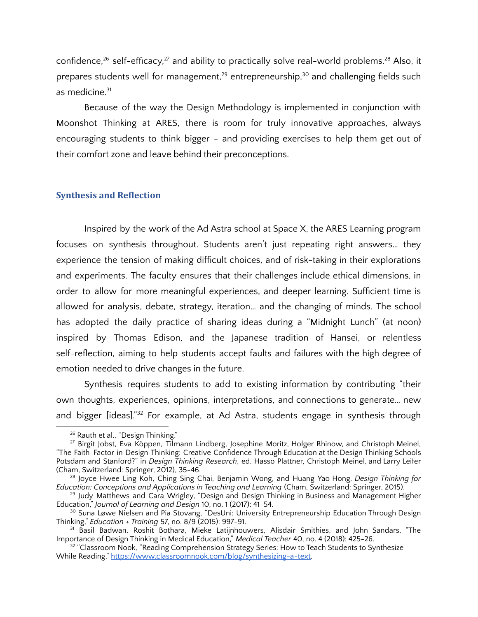confidence,<sup>26</sup> self-efficacy,<sup>27</sup> and ability to practically solve real-world problems.<sup>28</sup> Also, it prepares students well for management,<sup>29</sup> entrepreneurship,<sup>30</sup> and challenging fields such as medicine. 31

Because of the way the Design Methodology is implemented in conjunction with Moonshot Thinking at ARES, there is room for truly innovative approaches, always encouraging students to think bigger - and providing exercises to help them get out of their comfort zone and leave behind their preconceptions.

## **Synthesis and Reflection**

Inspired by the work of the Ad Astra school at Space X, the ARES Learning program focuses on synthesis throughout. Students aren't just repeating right answers… they experience the tension of making difficult choices, and of risk-taking in their explorations and experiments. The faculty ensures that their challenges include ethical dimensions, in order to allow for more meaningful experiences, and deeper learning. Sufficient time is allowed for analysis, debate, strategy, iteration… and the changing of minds. The school has adopted the daily practice of sharing ideas during a "Midnight Lunch" (at noon) inspired by Thomas Edison, and the Japanese tradition of Hansei, or relentless self-reflection, aiming to help students accept faults and failures with the high degree of emotion needed to drive changes in the future.

Synthesis requires students to add to existing information by contributing "their own thoughts, experiences, opinions, interpretations, and connections to generate… new and bigger [ideas]." <sup>32</sup> For example, at Ad Astra, students engage in synthesis through

<sup>&</sup>lt;sup>26</sup> Rauth et al., "Design Thinking."

<sup>27</sup> Birgit Jobst, Eva Köppen, Tilmann Lindberg, Josephine Moritz, Holger Rhinow, and Christoph Meinel, "The Faith-Factor in Design Thinking: Creative Confidence Through Education at the Design Thinking Schools Potsdam and Stanford?" in *Design Thinking Research*, ed. Hasso Plattner, Christoph Meinel, and Larry Leifer (Cham, Switzerland: Springer, 2012), 35-46.

<sup>28</sup> Joyce Hwee Ling Koh, Ching Sing Chai, Benjamin Wong, and Huang-Yao Hong, *Design Thinking for Education: Conceptions and Applications in Teaching and Learning* (Cham, Switzerland: Springer, 2015).

<sup>&</sup>lt;sup>29</sup> Judy Matthews and Cara Wrigley, "Design and Design Thinking in Business and Management Higher Education," *Journal of Learning and Design* 10, no. 1 (2017): 41-54.

 $^{\rm 30}$  Suna Løwe Nielsen and Pia Stovang, "DesUni: University Entrepreneurship Education Through Design Thinking," *Education + Training* 57, no. 8/9 (2015): 997-91.

<sup>&</sup>lt;sup>31</sup> Basil Badwan, Roshit Bothara, Mieke Latijnhouwers, Alisdair Smithies, and John Sandars, "The Importance of Design Thinking in Medical Education," *Medical Teacher* 40, no. 4 (2018): 425-26.

 $32$  "Classroom Nook, "Reading Comprehension Strategy Series: How to Teach Students to Synthesize While Reading," https://www.classroomnook.com/blog/synthesizing-a-text.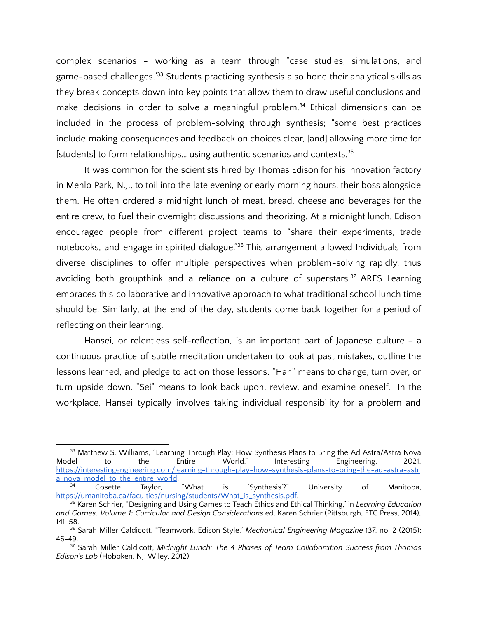complex scenarios - working as a team through "case studies, simulations, and game-based challenges." <sup>33</sup> Students practicing synthesis also hone their analytical skills as they break concepts down into key points that allow them to draw useful conclusions and make decisions in order to solve a meaningful problem. <sup>34</sup> Ethical dimensions can be included in the process of problem-solving through synthesis; "some best practices include making consequences and feedback on choices clear, [and] allowing more time for [students] to form relationships... using authentic scenarios and contexts.<sup>35</sup>

It was common for the scientists hired by Thomas Edison for his innovation factory in Menlo Park, N.J., to toil into the late evening or early morning hours, their boss alongside them. He often ordered a midnight lunch of meat, bread, cheese and beverages for the entire crew, to fuel their overnight discussions and theorizing. At a midnight lunch, Edison encouraged people from different project teams to "share their experiments, trade notebooks, and engage in spirited dialogue." <sup>36</sup> This arrangement allowed Individuals from diverse disciplines to offer multiple perspectives when problem-solving rapidly, thus avoiding both groupthink and a reliance on a culture of superstars.<sup>37</sup> ARES Learning embraces this collaborative and innovative approach to what traditional school lunch time should be. Similarly, at the end of the day, students come back together for a period of reflecting on their learning.

Hansei, or relentless self-reflection, is an important part of Japanese culture – a continuous practice of subtle meditation undertaken to look at past mistakes, outline the lessons learned, and pledge to act on those lessons. "Han" means to change, turn over, or turn upside down. "Sei" means to look back upon, review, and examine oneself. In the workplace, Hansei typically involves taking individual responsibility for a problem and

<sup>&</sup>lt;sup>33</sup> Matthew S. Williams, "Learning Through Play: How Synthesis Plans to Bring the Ad Astra/Astra Nova<br>Interesting to the Entire World," Interesting Engineering, 2021, Model to the Entire World," Interesting Engineering, 2021, https://interestingengineering.com/learning-through-play-how-synthesis-plans-to-bring-the-ad-astra-astr a-nova-model-to-the-entire-world.

<sup>34</sup> Cosette Taylor, "What is 'Synthesis'?" University of Manitoba, https://umanitoba.ca/faculties/nursing/students/What\_is\_synthesis.pdf

<sup>35</sup> Karen Schrier, "Designing and Using Games to Teach Ethics and Ethical Thinking," in *Learning Education and Games, Volume 1: Curricular and Design Considerations* ed. Karen Schrier (Pittsburgh, ETC Press, 2014), 141-58.

<sup>36</sup> Sarah Miller Caldicott, "Teamwork, Edison Style," *Mechanical Engineering Magazine* 137, no. 2 (2015): 46-49.

<sup>37</sup> Sarah Miller Caldicott, *Midnight Lunch: The 4 Phases of Team Collaboration Success from Thomas Edison's Lab* (Hoboken, NJ: Wiley, 2012).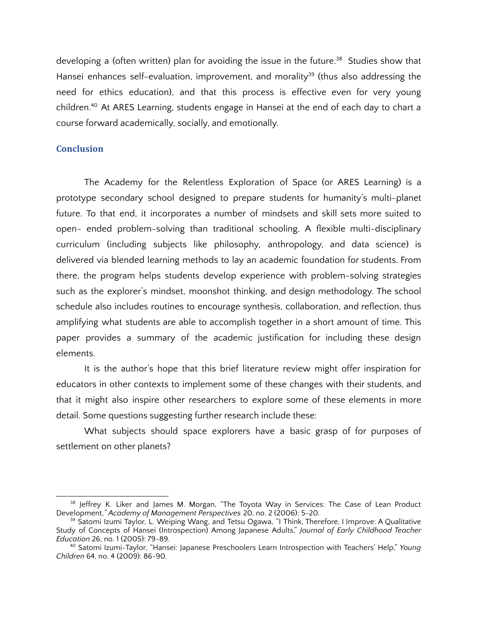developing a (often written) plan for avoiding the issue in the future. <sup>38</sup> Studies show that Hansei enhances self-evaluation, improvement, and morality<sup>39</sup> (thus also addressing the need for ethics education), and that this process is effective even for very young children. <sup>40</sup> At ARES Learning, students engage in Hansei at the end of each day to chart a course forward academically, socially, and emotionally.

## **Conclusion**

The Academy for the Relentless Exploration of Space (or ARES Learning) is a prototype secondary school designed to prepare students for humanity's multi-planet future. To that end, it incorporates a number of mindsets and skill sets more suited to open- ended problem-solving than traditional schooling. A flexible multi-disciplinary curriculum (including subjects like philosophy, anthropology, and data science) is delivered via blended learning methods to lay an academic foundation for students. From there, the program helps students develop experience with problem-solving strategies such as the explorer's mindset, moonshot thinking, and design methodology. The school schedule also includes routines to encourage synthesis, collaboration, and reflection, thus amplifying what students are able to accomplish together in a short amount of time. This paper provides a summary of the academic justification for including these design elements.

It is the author's hope that this brief literature review might offer inspiration for educators in other contexts to implement some of these changes with their students, and that it might also inspire other researchers to explore some of these elements in more detail. Some questions suggesting further research include these:

What subjects should space explorers have a basic grasp of for purposes of settlement on other planets?

<sup>&</sup>lt;sup>38</sup> Jeffrey K. Liker and James M. Morgan, "The Toyota Way in Services: The Case of Lean Product Development,*" Academy of Management Perspectives* 20, no. 2 (2006): 5-20.

<sup>&</sup>lt;sup>39</sup> Satomi Izumi Taylor, L. Weiping Wang, and Tetsu Ogawa, "I Think, Therefore, I Improve: A Qualitative Study of Concepts of Hansei (Introspection) Among Japanese Adults," *Journal of Early Childhood Teacher Education* 26, no. 1 (2005): 79-89.

<sup>40</sup> Satomi Izumi-Taylor, "Hansei: Japanese Preschoolers Learn Introspection with Teachers' Help," *Young Children* 64, no. 4 (2009): 86-90.